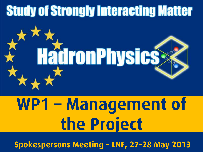## **Study of Strongly Interacting Matter**



# WP1 – Management of the Project

Spokespersons Meeting – LNF, 27-28 May 2013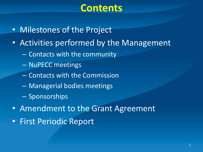#### **Contents**

- Milestones of the Project
- Activities performed by the Management
	- Contacts with the community
	- NuPECC meetings
	- Contacts with the Commission
	- Managerial bodies meetings
	- Sponsorships
- Amendment to the Grant Agreement
- First Periodic Report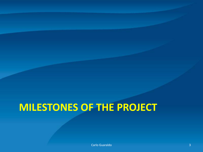#### **MILESTONES OF THE PROJECT**

**Carlo Guaraldo** 3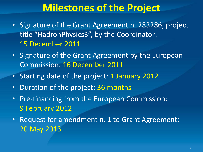#### **Milestones of the Project**

- Signature of the Grant Agreement n. 283286, project title "HadronPhysics3", by the Coordinator: 15 December 2011
- Signature of the Grant Agreement by the European Commission: 16 December 2011
- Starting date of the project: 1 January 2012
- Duration of the project: 36 months
- Pre-financing from the European Commission: 9 February 2012
- Request for amendment n. 1 to Grant Agreement: 20 May 2013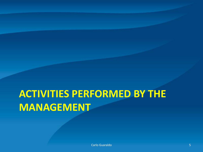### **ACTIVITIES PERFORMED BY THE MANAGEMENT**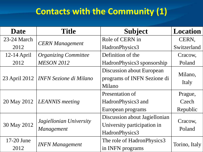#### **Contacts with the Community (1)**

| <b>Date</b>   | <b>Title</b>                                 | <b>Subject</b>                   | <b>Location</b> |  |
|---------------|----------------------------------------------|----------------------------------|-----------------|--|
| 23-24 March   |                                              | Role of CERN in                  | CERN,           |  |
| 2012          | <b>CERN</b> Management                       | HadronPhysics3                   | Switzerland     |  |
| $12-14$ April | <b>Organizing Committee</b>                  | Definition of the                | Cracow,         |  |
| 2012          | <b>MESON 2012</b>                            | HadronPhysics3 sponsorship       | Poland          |  |
|               |                                              | <b>Discussion about European</b> |                 |  |
| 23 April 2012 | <b>INFN Sezione di Milano</b>                | programs of INFN Sezione di      | Milano,         |  |
|               |                                              | Milano                           | Italy           |  |
| 20 May 2012   | <b>LEANNIS</b> meeting                       | Presentation of                  | Prague,         |  |
|               |                                              | HadronPhysics3 and               | Czech           |  |
|               |                                              | European programs                | Republic        |  |
| 30 May 2012   | Jagiellonian University<br><i>Management</i> | Discussion about Jagiellonian    |                 |  |
|               |                                              | University participation in      | Cracow,         |  |
|               |                                              | HadronPhysics3                   | Poland          |  |
| 17-20 June    |                                              | The role of HadronPhysics3       | Torino, Italy   |  |
| 2012          | <b>INFN Management</b>                       | in INFN programs                 |                 |  |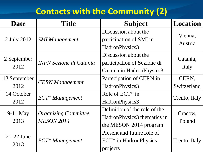#### **Contacts with the Community (2)**

| <b>Date</b>          | <b>Title</b>                                     | <b>Subject</b>                                                                         | <b>Location</b>      |
|----------------------|--------------------------------------------------|----------------------------------------------------------------------------------------|----------------------|
| 2 July 2012          | <b>SMI Management</b>                            | Discussion about the<br>participation of SMI in<br>HadronPhysics3                      | Vienna,<br>Austria   |
| 2 September<br>2012  | <b>INFN Sezione di Catania</b>                   | Discussion about the<br>participation of Sezione di<br>Catania in Hadron Physics 3     | Catania,<br>Italy    |
| 13 September<br>2012 | <b>CERN</b> Management                           | Partecipation of CERN in<br>HadronPhysics3                                             | CERN,<br>Switzerland |
| 14 October<br>2012   | <b>ECT*</b> Management                           | Role of $ECT^*$ in<br>HadronPhysics3                                                   | Trento, Italy        |
| $9-11$ May<br>2013   | <b>Organizing Committee</b><br><b>MESON 2014</b> | Definition of the role of the<br>HadronPhysics3 thematics in<br>the MESON 2014 program | Cracow,<br>Poland    |
| $21-22$ June<br>2013 | <b>ECT*</b> Management                           | Present and future role of<br><b>ECT*</b> in HadronPhysics<br>projects                 | Trento, Italy        |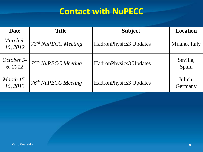#### **Contact with NuPECC**

| <b>Date</b>           | <b>Title</b>                    | <b>Subject</b>                | <b>Location</b>    |
|-----------------------|---------------------------------|-------------------------------|--------------------|
| March 9-<br>10, 2012  | 73rd NuPECC Meeting             | <b>HadronPhysics3 Updates</b> | Milano, Italy      |
| October 5-<br>6, 2012 | 75 <sup>th</sup> NuPECC Meeting | <b>HadronPhysics3 Updates</b> | Sevilla,<br>Spain  |
| March 15-<br>16, 2013 | 76 <sup>th</sup> NuPECC Meeting | <b>HadronPhysics3 Updates</b> | Jülich,<br>Germany |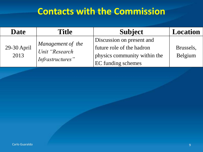#### **Contacts with the Commission**

| <b>Date</b>         | <b>Title</b>                       | <b>Subject</b>               | <b>Location</b> |
|---------------------|------------------------------------|------------------------------|-----------------|
|                     | Management of the                  | Discussion on present and    |                 |
| 29-30 April<br>2013 | Unit "Research<br>Infrastructures" | future role of the hadron    | Brussels,       |
|                     |                                    | physics community within the | Belgium         |
|                     |                                    | <b>EC</b> funding schemes    |                 |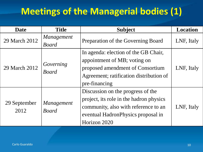#### **Meetings of the Managerial bodies (1)**

| <b>Date</b>          | <b>Title</b>                      | <b>Subject</b>                                                                                                                                                              | <b>Location</b> |
|----------------------|-----------------------------------|-----------------------------------------------------------------------------------------------------------------------------------------------------------------------------|-----------------|
| 29 March 2012        | <i>Management</i><br><b>Board</b> | Preparation of the Governing Board                                                                                                                                          | LNF, Italy      |
| 29 March 2012        | Governing<br><b>Board</b>         | In agenda: election of the GB Chair,<br>appointment of MB; voting on<br>proposed amendment of Consortium<br>Agreement; ratification distribution of<br>pre-financing        | LNF, Italy      |
| 29 September<br>2012 | <i>Management</i><br><b>Board</b> | Discussion on the progress of the<br>project, its role in the hadron physics<br>community, also with reference to an<br>eventual Hadron Physics proposal in<br>Horizon 2020 | LNF, Italy      |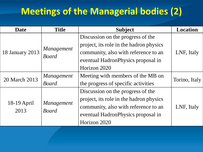#### **Meetings of the Managerial bodies (2)**

| <b>Date</b>         | <b>Title</b>                      | <b>Subject</b>                          | <b>Location</b> |  |
|---------------------|-----------------------------------|-----------------------------------------|-----------------|--|
|                     |                                   | Discussion on the progress of the       |                 |  |
|                     | <i>Management</i><br><b>Board</b> | project, its role in the hadron physics |                 |  |
| 18 January 2013     |                                   | community, also with reference to an    | LNF, Italy      |  |
|                     |                                   | eventual Hadron Physics proposal in     |                 |  |
|                     |                                   | Horizon 2020                            |                 |  |
| 20 March 2013       | Management                        | Meeting with members of the MB on       |                 |  |
|                     | <b>Board</b>                      | the progress of specific activities     | Torino, Italy   |  |
|                     |                                   | Discussion on the progress of the       |                 |  |
| 18-19 April<br>2013 | Management<br><b>Board</b>        | project, its role in the hadron physics |                 |  |
|                     |                                   | community, also with reference to an    | LNF, Italy      |  |
|                     |                                   | eventual Hadron Physics proposal in     |                 |  |
|                     |                                   | Horizon 2020                            |                 |  |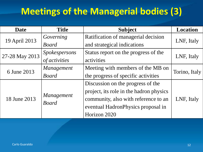#### **Meetings of the Managerial bodies (3)**

| <b>Date</b>    | <b>Title</b>         | <b>Subject</b>                          | <b>Location</b> |  |
|----------------|----------------------|-----------------------------------------|-----------------|--|
|                | Governing            | Ratification of managerial decision     |                 |  |
| 19 April 2013  | <b>Board</b>         | and strategical indications             | LNF, Italy      |  |
|                | <b>Spokespersons</b> | Status report on the progress of the    |                 |  |
| 27-28 May 2013 | of activities        | activities                              | LNF, Italy      |  |
| 6 June 2013    | Management           | Meeting with members of the MB on       |                 |  |
|                | <b>Board</b>         | the progress of specific activities     | Torino, Italy   |  |
| 18 June 2013   |                      | Discussion on the progress of the       |                 |  |
|                |                      | project, its role in the hadron physics |                 |  |
|                | <i>Management</i>    | community, also with reference to an    | LNF, Italy      |  |
|                | <b>Board</b>         | eventual HadronPhysics proposal in      |                 |  |
|                |                      | Horizon 2020                            |                 |  |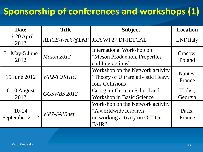#### **Sponsorship of conferences and workshops (1)**

| <b>Date</b>                 | <b>Title</b>       | <b>Subject</b>                                                                                      | <b>Location</b>     |
|-----------------------------|--------------------|-----------------------------------------------------------------------------------------------------|---------------------|
| $16-20$ April<br>2012       |                    | ALICE-week @LNF   JRA WP27 DI-JETCAL                                                                | LNF, Italy          |
| 31 May-5 June<br>2012       | <i>Meson 2012</i>  | International Workshop on<br>"Meson Production, Properties<br>and Interactions"                     | Cracow,<br>Poland   |
| 15 June 2012                | WP2-TURHIC         | Workshop on the Network activity<br>"Theory of Ultrarelativistic Heavy"<br>Ions Collisions"         | Nantes,<br>France   |
| 6-10 August<br>2012         | <b>GGSWBS 2012</b> | Georgian-German School and<br><b>Workshop in Basic Science</b>                                      | Tbilisi,<br>Georgia |
| $10 - 14$<br>September 2012 | WP7-FAIRnet        | Workshop on the Network activity<br>"A worldwide research<br>networking activity on QCD at<br>FAIR" | Paris,<br>France    |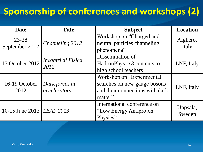#### **Sponsorship of conferences and workshops (2)**

| <b>Date</b>               | <b>Title</b>                   | <b>Subject</b>                                                                                          | <b>Location</b>    |
|---------------------------|--------------------------------|---------------------------------------------------------------------------------------------------------|--------------------|
| 23-28<br>September 2012   | Channeling 2012                | Workshop on "Charged and<br>neutral particles channeling<br>phenomena"                                  | Alghero,<br>Italy  |
| 15 October 2012           | Incontri di Fisica<br>2012     | Dissemination of<br>HadronPhysics3 contents to<br>high school teachers                                  | LNF, Italy         |
| 16-19 October<br>2012     | Dark forces at<br>accelerators | Workshop on "Experimental<br>searches on new gauge bosons<br>and their connections with dark<br>matter" | LNF, Italy         |
| 10-15 June 2013 LEAP 2013 |                                | International conference on<br>"Low Energy Antiproton"<br>Physics"                                      | Uppsala,<br>Sweden |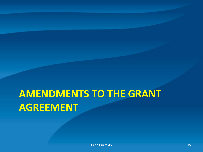#### **AMENDMENTS TO THE GRANT AGREEMENT**

**Carlo Guaraldo** 15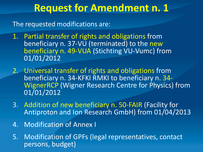#### **Request for Amendment n. 1**

The requested modifications are:

- 1. Partial transfer of rights and obligations from beneficiary n. 37-VU (terminated) to the new beneficiary n. 49-VUA (Stichting VU-Vumc) from 01/01/2012
- 2. Universal transfer of rights and obligations from beneficiary n. 34-KFKI RMKI to beneficiary n. 34- WignerRCP (Wigner Research Centre for Physics) from 01/01/2012
- 3. Addition of new beneficiary n. 50-FAIR (Facility for Antiproton and Ion Research GmbH) from 01/04/2013
- 4. Modification of Annex I
- 5. Modification of GPFs (legal representatives, contact persons, budget)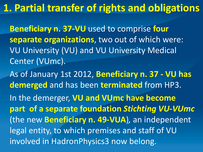#### **1. Partial transfer of rights and obligations**

**Beneficiary n. 37-VU** used to comprise **four separate organizations**, two out of which were: VU University (VU) and VU University Medical Center (VUmc).

As of January 1st 2012, **Beneficiary n. 37 - VU has demerged** and has been **terminated** from HP3. In the demerger, **VU and VUmc have become part of a separate foundation** *Stichting VU-VUmc*  (the new **Beneficiary n. 49-VUA**)*,* an independent legal entity, to which premises and staff of VU involved in HadronPhysics3 now belong.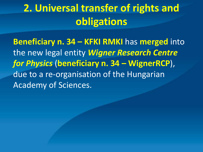#### **2. Universal transfer of rights and obligations**

**Beneficiary n. 34 – KFKI RMKI** has **merged** into the new legal entity *Wigner Research Centre for Physics* (**beneficiary n. 34 – WignerRCP**), due to a re-organisation of the Hungarian Academy of Sciences.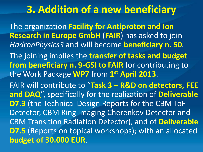#### **3. Addition of a new beneficiary**

The organization **Facility for Antiproton and Ion Research in Europe GmbH** (**FAIR**) has asked to join *HadronPhysics3* and will become **beneficiary n. 50***.*

The joining implies the **transfer of tasks and budget from beneficiary n. 9-GSI to FAIR** for contributing to the Work Package **WP7** from **1 st April 2013**.

FAIR will contribute to "**Task 3 – R&D on detectors, FEE and DAQ**", specifically for the realization of **Deliverable D7.3** (the Technical Design Reports for the CBM ToF Detector, CBM Ring Imaging Cherenkov Detector and CBM Transition Radiation Detector), and of **Deliverable D7.5** (Reports on topical workshops); with an allocated **budget of 30.000 EUR**.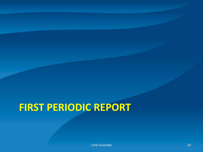### **FIRST PERIODIC REPORT**

Carlo Guaraldo 20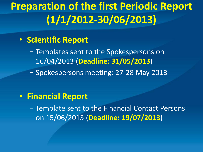#### **Preparation of the first Periodic Report (1/1/2012-30/06/2013)**

#### • **Scientific Report**

- − Templates sent to the Spokespersons on 16/04/2013 (**Deadline: 31/05/2013**)
- − Spokespersons meeting: 27-28 May 2013

#### • **Financial Report**

− Template sent to the Financial Contact Persons on 15/06/2013 (**Deadline: 19/07/2013**)